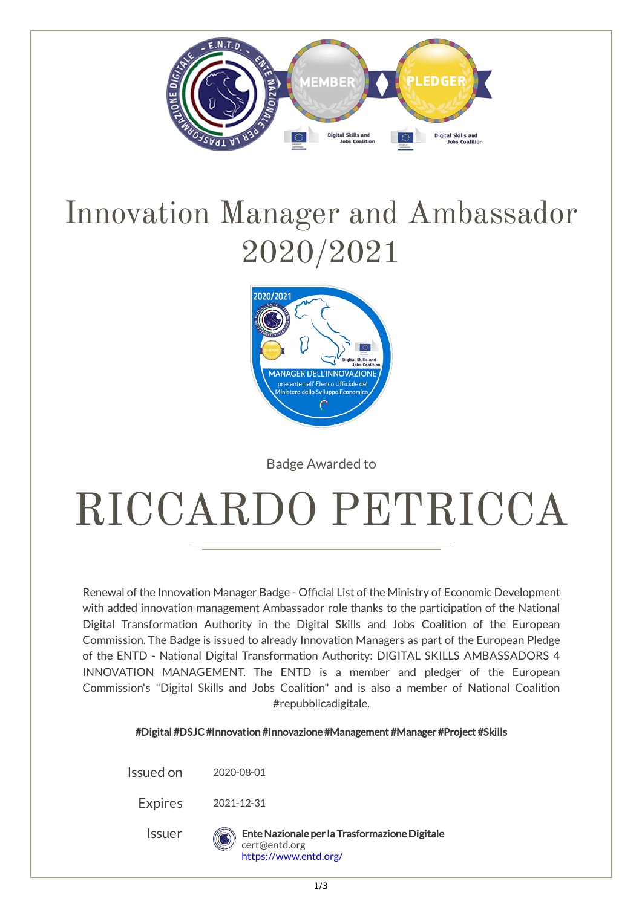

## Innovation Manager and Ambassador 2020/2021



Badge Awarded to

## RICCARDO PETRICCA

Renewal of the Innovation Manager Badge - Official List of the Ministry of Economic Development with added innovation management Ambassador role thanks to the participation of the National Digital Transformation Authority in the Digital Skills and Jobs Coalition of the European Commission. The Badge is issued to already Innovation Managers as part of the European Pledge of the ENTD - National Digital Transformation Authority: DIGITAL SKILLS AMBASSADORS 4 INNOVATION MANAGEMENT. The ENTD is a member and pledger of the European Commission's "Digital Skills and Jobs Coalition" and is also a member of National Coalition #repubblicadigitale.

#Digital #DSJC#Innovation #Innovazione#Management #Manager #Project #Skills

Issued on 2020-08-01

Expires 2021-12-31

Issuer EnteNazionale per la TrasformazioneDigitale cert@entd.org <https://www.entd.org/>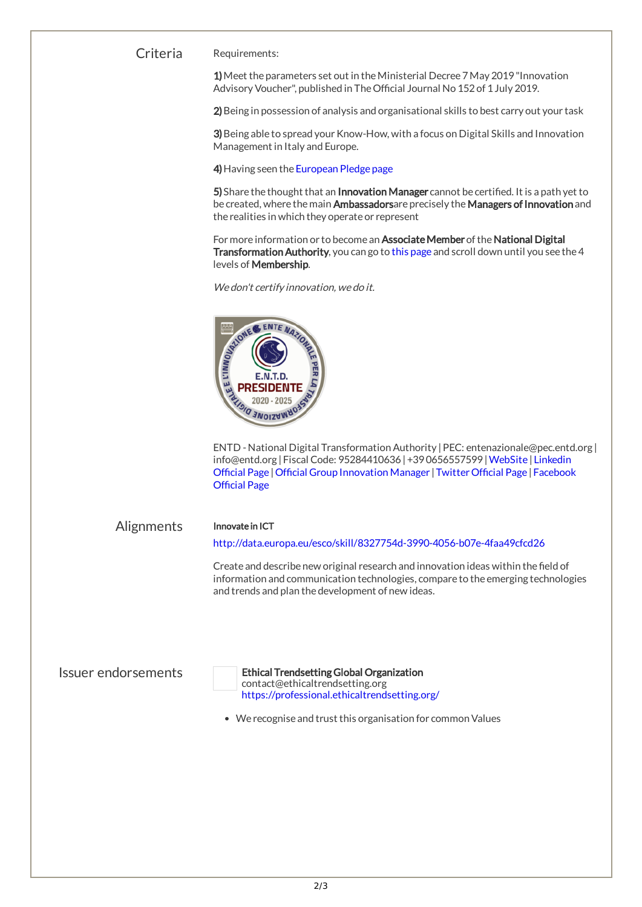## Criteria Requirements:

1) Meet the parameters set out in the Ministerial Decree 7 May 2019 "Innovation Advisory Voucher", published in The Official Journal No 152 of 1 July 2019.

2) Being in possession of analysis and organisational skills to best carry out your task

3) Being able to spread your Know-How, with a focus on Digital Skills and Innovation Management in Italy and Europe.

4) Having seen the [European](https://entd.org/digital-skills-ambassadors-4-innovation-management/) Pledge page

5) Share the thought that an Innovation Manager cannot be certified. It is a path yet to be created, where the main Ambassadorsare precisely the Managers of Innovation and the realities in which they operate or represent

For more information or to become an Associate Member of the National Digital Transformation Authority, you can go to this [page](https://entd.org/digital-skills-ambassadors-4-innovation-management/) and scroll down until you see the 4 levels of Membership.

We don't certify innovation, we do it.



ENTD - National Digital TransformationAuthority |PEC: entenazionale@pec.entd.org | info@entd.org | Fiscal Code: [95284410636|+390656557599|W](https://www.linkedin.com/company/ente-nazionale-trasformazione-digitale-innovazione/)[ebSit](https://entd.org/)[e](https://www.linkedin.com/company/ente-nazionale-trasformazione-digitale-innovazione/) | Linkedin Official Page | Official Group [Innovation](https://www.linkedin.com/groups/13689351/?lipi=urn%3Ali%3Apage%3Ad_flagship3_groups_index%3BxjriKmhrSGCBV%2FJ2ASpl2w%3D%3D&licu=urn%3Ali%3Acontrol%3Ad_flagship3_groups_index-view_group&lici=00000000-0000-0000-0000-000000000000) Manager | Twitter Official Page | Facebook **Official Page** 

Alignments Innovate in ICT

<http://data.europa.eu/esco/skill/8327754d-3990-4056-b07e-4faa49cfcd26>

Create and describe new original research and innovation ideas within the field of information and communication technologies, compare to the emerging technologies and trends and plan the development of new ideas.



Issuer endorsements Ethical Trendsetting Global Organization contact@ethicaltrendsetting.org <https://professional.ethicaltrendsetting.org/>

• We recognise and trust this organisation for common Values